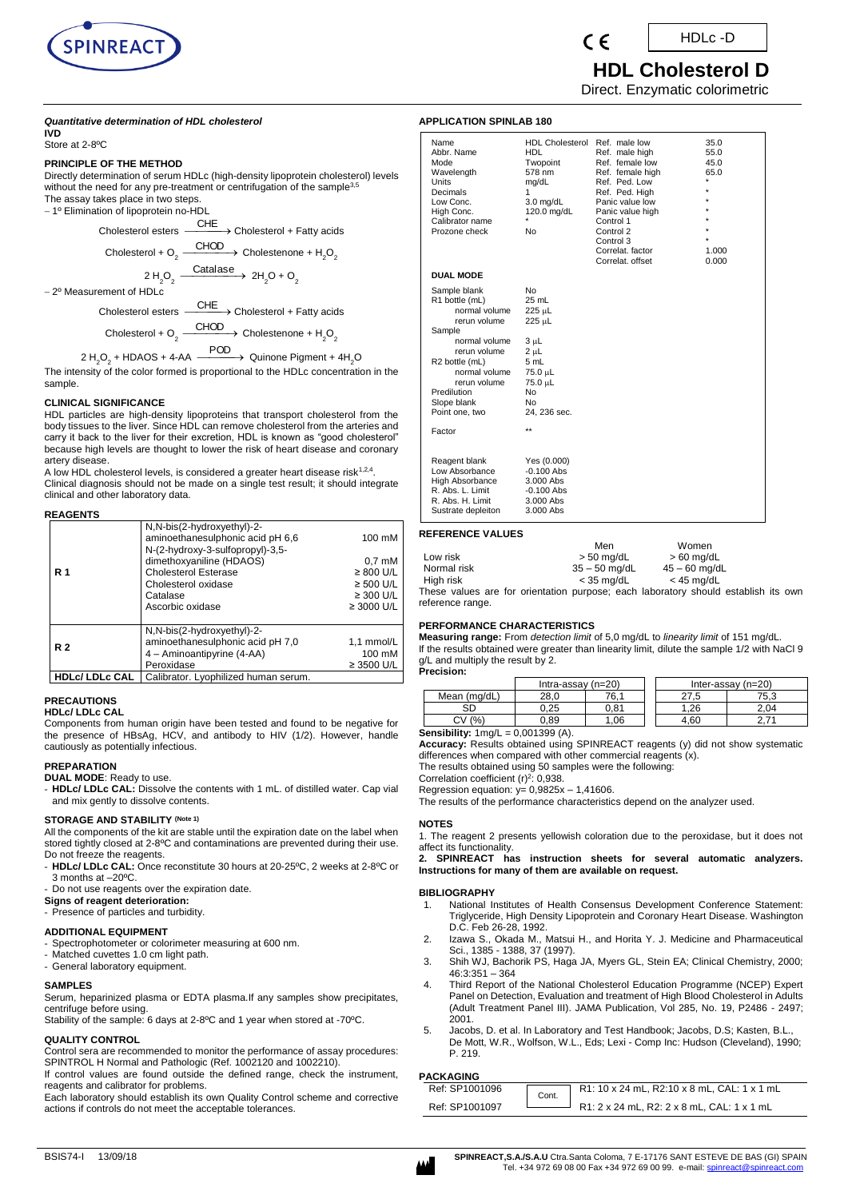

HDLc -D

 **HDL Cholesterol D** Direct. Enzymatic colorimetric

## *Quantitative determination of HDL cholesterol*

**IVD**  Store at 2-8ºC

# **PRINCIPLE OF THE METHOD**

Directly determination of serum HDLc (high-density lipoprotein cholesterol) levels without the need for any pre-treatment or centrifugation of the sample<sup>3,5</sup> The assay takes place in two steps.

- 1º Elimination of lipoprotein no-HDL



2º Measurement of HDLc

Cholesterol esters -CHE<br>
→ Cholesterol + Fatty acids Cholesterol + O $_{_2}$   $\longrightarrow$  Cholestenone + H $_{_2}$ O $_{_2}$ 

2 H<sub>2</sub>O<sub>2</sub> + HDAOS + 4-AA  $\xrightarrow{\text{POD}}$  Quinone Pigment + 4H<sub>2</sub>O

The intensity of the color formed is proportional to the HDLc concentration in the sample.

## **CLINICAL SIGNIFICANCE**

HDL particles are high-density lipoproteins that transport cholesterol from the body tissues to the liver. Since HDL can remove cholesterol from the arteries and carry it back to the liver for their excretion, HDL is known as "good cholesterol" because high levels are thought to lower the risk of heart disease and coronary artery disease.

A low HDL cholesterol levels, is considered a greater heart disease risk $^{1,2,4}$ . Clinical diagnosis should not be made on a single test result; it should integrate clinical and other laboratory data.

### **REAGENTS**

|                     | N,N-bis(2-hydroxyethyl)-2-<br>aminoethanesulphonic acid pH 6,6<br>N-(2-hydroxy-3-sulfopropyl)-3,5- | 100 mM           |
|---------------------|----------------------------------------------------------------------------------------------------|------------------|
|                     | dimethoxyaniline (HDAOS)                                                                           | $0.7 \text{ mM}$ |
| <b>R</b> 1          | <b>Cholesterol Esterase</b>                                                                        | $\geq 800$ U/L   |
|                     | Cholesterol oxidase                                                                                | $\geq$ 500 U/L   |
|                     | Catalase                                                                                           | $\geq$ 300 U/L   |
|                     | Ascorbic oxidase                                                                                   | $\geq$ 3000 U/L  |
|                     |                                                                                                    |                  |
|                     | N,N-bis(2-hydroxyethyl)-2-                                                                         |                  |
| <b>R2</b>           | aminoethanesulphonic acid pH 7,0                                                                   | 1,1 mmol/L       |
|                     | 4 - Aminoantipyrine (4-AA)                                                                         | 100 mM           |
|                     | Peroxidase                                                                                         | $\geq$ 3500 U/L  |
| $1101 - 1101 - 011$ | Outlined and the selection of the second and                                                       |                  |

**HDLc/ LDLc CAL** | Calibrator. Lyophilized human serum.

#### **PRECAUTIONS**

#### **HDLc/ LDLc CAL**

Components from human origin have been tested and found to be negative for the presence of HBsAg, HCV, and antibody to HIV (1/2). However, handle cautiously as potentially infectious.

#### **PREPARATION**

#### **DUAL MODE**: Ready to use.

HDLc/ LDLc CAL: Dissolve the contents with 1 mL. of distilled water. Cap vial and mix gently to dissolve contents.

## **STORAGE AND STABILITY (Note 1)**

All the components of the kit are stable until the expiration date on the label when stored tightly closed at 2-8ºC and contaminations are prevented during their use. Do not freeze the reagents.

- **HDLc/ LDLc CAL:** Once reconstitute 30 hours at 20-25ºC, 2 weeks at 2-8ºC or 3 months at –20ºC.

- Do not use reagents over the expiration date.
- **Signs of reagent deterioration:**

- Presence of particles and turbidity.

## **ADDITIONAL EQUIPMENT**

Spectrophotometer or colorimeter measuring at 600 nm.

Matched cuvettes 1.0 cm light path. General laboratory equipment.

# **SAMPLES**

Serum, heparinized plasma or EDTA plasma.If any samples show precipitates, centrifuge before using.

Stability of the sample: 6 days at 2-8ºC and 1 year when stored at -70ºC.

# **QUALITY CONTROL**

Control sera are recommended to monitor the performance of assay procedures: SPINTROL H Normal and Pathologic (Ref. 1002120 and 1002210).

If control values are found outside the defined range, check the instrument, reagents and calibrator for problems.

Each laboratory should establish its own Quality Control scheme and corrective actions if controls do not meet the acceptable tolerances.

| <b>APPLICATION SPINLAB 180</b> |  |
|--------------------------------|--|
|--------------------------------|--|

| Name<br>Abbr. Name<br>Mode<br>Wavelength<br><b>Units</b><br>Decimals<br>Low Conc.<br>High Conc.<br>Calibrator name<br>Prozone check | <b>HDL Cholesterol</b><br><b>HDL</b><br>Twopoint<br>578 nm<br>mg/dL<br>1<br>$3.0$ mg/dL<br>120.0 mg/dL<br>*<br>No | Ref. male low<br>Ref. male high<br>Ref. female low<br>Ref. female high<br>Ref. Ped. Low<br>Ref. Ped. High<br>Panic value low<br>Panic value high<br>Control 1<br>Control 2<br>Control 3<br>Correlat, factor<br>Correlat. offset | 35.0<br>55.0<br>45.0<br>65.0<br>$\star$<br>$\star$<br>٠<br>×<br>1.000<br>0.000 |
|-------------------------------------------------------------------------------------------------------------------------------------|-------------------------------------------------------------------------------------------------------------------|---------------------------------------------------------------------------------------------------------------------------------------------------------------------------------------------------------------------------------|--------------------------------------------------------------------------------|
| <b>DUAL MODE</b>                                                                                                                    |                                                                                                                   |                                                                                                                                                                                                                                 |                                                                                |
| Sample blank<br>R1 bottle (mL)<br>normal volume<br>rerun volume                                                                     | No<br>25 mL<br>225 µL<br>225 µL                                                                                   |                                                                                                                                                                                                                                 |                                                                                |
| Sample                                                                                                                              |                                                                                                                   |                                                                                                                                                                                                                                 |                                                                                |
| normal volume<br>rerun volume                                                                                                       | 3 µL<br>2 սԼ                                                                                                      |                                                                                                                                                                                                                                 |                                                                                |
| R <sub>2</sub> bottle (mL)<br>normal volume<br>rerun volume                                                                         | 5 mL<br>75.0 µL<br>75.0 µL                                                                                        |                                                                                                                                                                                                                                 |                                                                                |
| Predilution                                                                                                                         | No                                                                                                                |                                                                                                                                                                                                                                 |                                                                                |
| Slope blank<br>Point one, two                                                                                                       | No<br>24, 236 sec.                                                                                                |                                                                                                                                                                                                                                 |                                                                                |
| Factor                                                                                                                              | $\star\star$                                                                                                      |                                                                                                                                                                                                                                 |                                                                                |
|                                                                                                                                     |                                                                                                                   |                                                                                                                                                                                                                                 |                                                                                |
| Reagent blank<br>Low Absorbance<br>High Absorbance<br>R. Abs. L. Limit<br>R. Abs. H. Limit<br>Sustrate depleiton                    | Yes (0.000)<br>$-0.100$ Abs<br>3.000 Abs<br>$-0.100$ Abs<br>3.000 Abs<br>3.000 Abs                                |                                                                                                                                                                                                                                 |                                                                                |

## **REFERENCE VALUES**

|                                                                                    | Men             |  | Women           |  |  |
|------------------------------------------------------------------------------------|-----------------|--|-----------------|--|--|
| Low risk                                                                           | $> 50$ mg/dL    |  | $> 60$ mg/dL    |  |  |
| Normal risk                                                                        | $35 - 50$ ma/dL |  | $45 - 60$ ma/dL |  |  |
| High risk                                                                          | < 35 ma/dL      |  | $<$ 45 ma/dL    |  |  |
| These values are for orientation purpose; each laboratory should establish its own |                 |  |                 |  |  |
| reference range.                                                                   |                 |  |                 |  |  |

## **PERFORMANCE CHARACTERISTICS**

**Measuring range:** From *detection limit* of 5,0 mg/dL to *linearity limit* of 151 mg/dL. If the results obtained were greater than linearity limit, dilute the sample 1/2 with NaCl 9 g/L and multiply the result by 2.

**Precision:**  $\frac{\text{Intra-assay (n=20)}}{\text{28.0}}$  76.1  $\frac{\text{Inter-assay (n=20)}}{\text{27.5}}$  75.3 Mean (mg/dL) 28,0 76,1 27,5 75,3<br>SD 0,25 0,81 1,26 2,04 SD 0,25 0,81 1,26 2,04

CV (%) | 0,89 | 1,06 || 4,60 | 2,71 **Sensibility:**  $1 \text{mg/L} = 0,001399$  (A). **Accuracy:** Results obtained using SPINREACT reagents (y) did not show systematic differences when compared with other commercial reagents (x).

The results obtained using 50 samples were the following:

Correlation coefficient  $(r)^2$ : 0,938.

Regression equation:  $y= 0.9825x - 1.41606$ .

The results of the performance characteristics depend on the analyzer used.

#### **NOTES**

1. The reagent 2 presents yellowish coloration due to the peroxidase, but it does not affect its functionality.

**2. SPINREACT has instruction sheets for several automatic analyzers. Instructions for many of them are available on request.**

## **BIBLIOGRAPHY**

- 1. National Institutes of Health Consensus Development Conference Statement: Triglyceride, High Density Lipoprotein and Coronary Heart Disease. Washington D.C. Feb 26-28, 1992.
- 2. Izawa S., Okada M., Matsui H., and Horita Y. J. Medicine and Pharmaceutical Sci., 1385 - 1388, 37 (1997).
- 3. Shih WJ, Bachorik PS, Haga JA, Myers GL, Stein EA; Clinical Chemistry, 2000; 46:3:351 – 364
- 4. Third Report of the National Cholesterol Education Programme (NCEP) Expert Panel on Detection, Evaluation and treatment of High Blood Cholesterol in Adults (Adult Treatment Panel III). JAMA Publication, Vol 285, No. 19, P2486 - 2497; 2001.
- 5. Jacobs, D. et al. In Laboratory and Test Handbook; Jacobs, D.S; Kasten, B.L., De Mott, W.R., Wolfson, W.L., Eds; Lexi - Comp Inc: Hudson (Cleveland), 1990; P. 219.

#### **PACKAGING**

| טווטושועה ו    |       |                                                    |
|----------------|-------|----------------------------------------------------|
| Ref: SP1001096 | Cont. | R1: 10 x 24 mL, R2:10 x 8 mL, CAL: 1 x 1 mL        |
| Ref: SP1001097 |       | $\perp$ R1: 2 x 24 mL, R2: 2 x 8 mL, CAL: 1 x 1 mL |

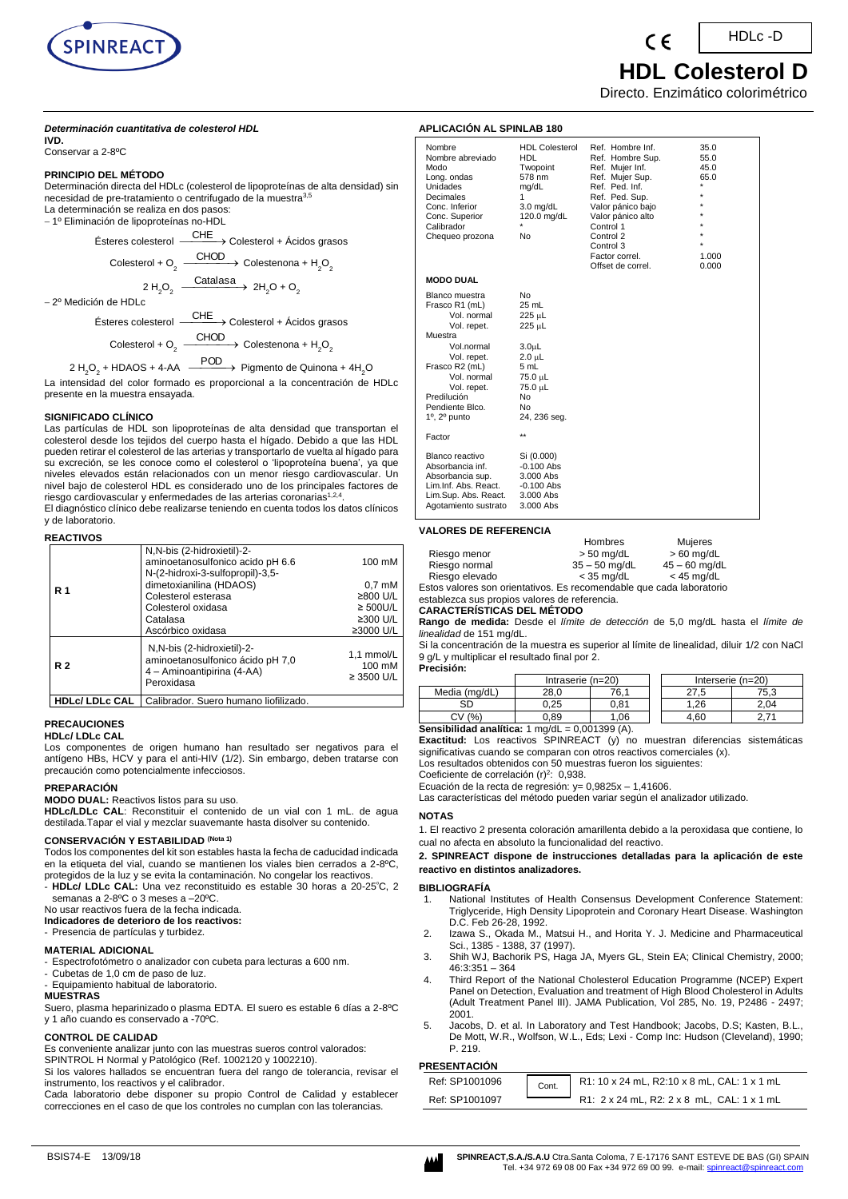

## *Determinación cuantitativa de colesterol HDL* **IVD.**

Conservar a 2-8ºC

## **PRINCIPIO DEL MÉTODO**

Determinación directa del HDLc (colesterol de lipoproteínas de alta densidad) sin necesidad de pre-tratamiento o centrifugado de la muestra<sup>3,</sup> La determinación se realiza en dos pasos:

1º Eliminación de lipoproteínas no-HDL

Ésteres colesterol CHE Colesterol + Ácidos grasos Colesterol + O<sub>2</sub>  $\xrightarrow{\text{CHOD}}$  Colestenona + H<sub>2</sub>O<sub>2</sub> 2 H<sub>2</sub>O<sub>2</sub>  $\xrightarrow{\text{Catalasa}}$  2H<sub>2</sub>O + O<sub>2</sub>

2º Medición de HDLc

Ésteres colesterol CHE Colesterol + Ácidos grasos Colesterol + O<sub>2</sub>  $\xrightarrow{\text{CHOD}}$  Colestenona + H<sub>2</sub>O<sub>2</sub>

2 H<sub>2</sub>O<sub>2</sub> + HDAOS + 4-AA  $\xrightarrow{\text{POD}}$  Pigmento de Quinona + 4H<sub>2</sub>O

La intensidad del color formado es proporcional a la concentración de HDLc presente en la muestra ensayada.

# **SIGNIFICADO CLÍNICO**

Las partículas de HDL son lipoproteínas de alta densidad que transportan el [colesterol](http://es.wikipedia.org/wiki/Colesterol) desde los tejidos del cuerpo hasta el hígado. Debido a que las HDL pueden retirar el colesterol de las arterias y transportarlo de vuelta al hígado para su excreción, se les conoce como el colesterol o 'lipoproteína buena', ya que niveles elevados están relacionados con un menor riesgo cardiovascular. Un nivel bajo de colesterol HDL es considerado uno de los principales factores de riesgo cardiovascular y enfermedades de las arterias coronarias<sup>1,2,4</sup>.

El diagnóstico clínico debe realizarse teniendo en cuenta todos los datos clínicos y de laboratorio.

## **REACTIVOS**

| R 1       | N, N-bis (2-hidroxietil)-2-<br>aminoetanosulfonico acido pH 6.6<br>N-(2-hidroxi-3-sulfopropil)-3,5-<br>dimetoxianilina (HDAOS)<br>Colesterol esterasa<br>Colesterol oxidasa<br>Catalasa<br>Ascórbico oxidasa | 100 mM<br>$0.7 \text{ }\mathrm{mM}$<br>≥800 U/L<br>$\geq$ 500U/L<br>$\geq$ 300 U/L<br>≥3000 U/L |  |
|-----------|--------------------------------------------------------------------------------------------------------------------------------------------------------------------------------------------------------------|-------------------------------------------------------------------------------------------------|--|
| <b>R2</b> | N, N-bis (2-hidroxietil)-2-<br>aminoetanosulfonico ácido pH 7,0<br>4 - Aminoantipirina (4-AA)<br>Peroxidasa                                                                                                  | 1,1 mmol/L<br>100 mM<br>$\geq$ 3500 U/L                                                         |  |
|           | HDLc/ LDLc CAL   Calibrador. Suero humano liofilizado.                                                                                                                                                       |                                                                                                 |  |

#### **PRECAUCIONES HDLc/ LDLc CAL**

Los componentes de origen humano han resultado ser negativos para el

antígeno HBs, HCV y para el anti-HIV (1/2). Sin embargo, deben tratarse con precaución como potencialmente infecciosos.

# **PREPARACIÓN**

**MODO DUAL:** Reactivos listos para su uso.

**HDLc/LDLc CAL**: Reconstituir el contenido de un vial con 1 mL. de agua destilada.Tapar el vial y mezclar suavemante hasta disolver su contenido.

# **CONSERVACIÓN Y ESTABILIDAD (Nota 1)**

Todos los componentes del kit son estables hasta la fecha de caducidad indicada en la etiqueta del vial, cuando se mantienen los viales bien cerrados a 2-8ºC, protegidos de la luz y se evita la contaminación. No congelar los reactivos.

- **HDLc/ LDLc CAL:** Una vez reconstituido es estable 30 horas a 20-25<sup>º</sup>C, 2 semanas a 2-8ºC o 3 meses a –20ºC.

## No usar reactivos fuera de la fecha indicada.

**Indicadores de deterioro de los reactivos:**

- Presencia de partículas y turbidez.

## **MATERIAL ADICIONAL**

- Espectrofotómetro o analizador con cubeta para lecturas a 600 nm.

- Cubetas de 1,0 cm de paso de luz.
- Equipamiento habitual de laboratorio.

#### **MUESTRAS**

Suero, plasma heparinizado o plasma EDTA. El suero es estable 6 días a 2-8ºC y 1 año cuando es conservado a -70ºC.

# **CONTROL DE CALIDAD**

Es conveniente analizar junto con las muestras sueros control valorados: SPINTROL H Normal y Patológico (Ref. 1002120 y 1002210).

Si los valores hallados se encuentran fuera del rango de tolerancia, revisar el instrumento, los reactivos y el calibrador.

Cada laboratorio debe disponer su propio Control de Calidad y establecer correcciones en el caso de que los controles no cumplan con las tolerancias.

HDLc -D

 **HDL Colesterol D**

Directo. Enzimático colorimétrico

## **APLICACIÓN AL SPINLAB 180**

| Nombre<br>Nombre abreviado<br>Modo<br>Long. ondas<br><b>Unidades</b><br>Decimales<br>Conc. Inferior<br>Conc. Superior<br>Calibrador<br>Chequeo prozona                                                                  | <b>HDL Colesterol</b><br>HDL<br>Twopoint<br>578 nm<br>mg/dL<br>1<br>$3.0$ mg/dL<br>120.0 mg/dL<br>No                                           | Ref. Hombre Inf.<br>Ref. Hombre Sup.<br>Ref. Mujer Inf.<br>Ref. Mujer Sup.<br>Ref. Ped. Inf.<br>Ref. Ped. Sup.<br>Valor pánico bajo<br>Valor pánico alto<br>Control 1<br>Control 2<br>Control 3<br>Factor correl.<br>Offset de correl. | 35.0<br>55.0<br>45.0<br>65.0<br>$\star$<br>$\star$<br>$\star$<br>$\star$<br>$\star$<br>1.000<br>0.000 |
|-------------------------------------------------------------------------------------------------------------------------------------------------------------------------------------------------------------------------|------------------------------------------------------------------------------------------------------------------------------------------------|----------------------------------------------------------------------------------------------------------------------------------------------------------------------------------------------------------------------------------------|-------------------------------------------------------------------------------------------------------|
| <b>MODO DUAL</b>                                                                                                                                                                                                        |                                                                                                                                                |                                                                                                                                                                                                                                        |                                                                                                       |
| Blanco muestra<br>Frasco R1 (mL)<br>Vol. normal<br>Vol. repet.<br>Muestra<br>Vol.normal<br>Vol. repet.<br>Frasco R2 (mL)<br>Vol. normal<br>Vol. repet.<br>Predilución<br>Pendiente Blco.<br>$1^\circ$ , $2^\circ$ punto | N <sub>0</sub><br>25 mL<br>225 µL<br>225 µL<br>$3.0\mu$ L<br>$2.0 \mu L$<br>5 mL<br>75.0 µL<br>75.0 µL<br>No<br>N <sub>0</sub><br>24, 236 seg. |                                                                                                                                                                                                                                        |                                                                                                       |
| Factor                                                                                                                                                                                                                  | $\star\star$                                                                                                                                   |                                                                                                                                                                                                                                        |                                                                                                       |
| Blanco reactivo<br>Absorbancia inf.<br>Absorbancia sup.<br>Lim.Inf. Abs. React.<br>Lim.Sup. Abs. React.<br>Agotamiento sustrato                                                                                         | Si (0.000)<br>$-0.100$ Abs<br>3.000 Abs<br>$-0.100$ Abs<br>3.000 Abs<br>3.000 Abs                                                              |                                                                                                                                                                                                                                        |                                                                                                       |

## **VALORES DE REFERENCIA**

|                                                                      | Hombres         | Mujeres         |
|----------------------------------------------------------------------|-----------------|-----------------|
| Riesgo menor                                                         | $>$ 50 ma/dL    | $> 60$ mg/dL    |
| Riesgo normal                                                        | $35 - 50$ ma/dL | $45 - 60$ mg/dL |
| Riesgo elevado                                                       | $<$ 35 ma/dL    | $<$ 45 mg/dL    |
| Estos valores son orientativos. Es recomendable que cada laboratorio |                 |                 |

valores son orientativos. Es recomendable que cada laboratorio establezca sus propios valores de referencia.

**CARACTERÍSTICAS DEL MÉTODO** 

**Rango de medida:** Desde el *límite de detección* de 5,0 mg/dL hasta el *límite de linealidad* de 151 mg/dL.

Si la concentración de la muestra es superior al límite de linealidad, diluir 1/2 con NaCl 9 g/L y multiplicar el resultado final por 2. **Precisión:**

| .             |                     |            |      |                     |
|---------------|---------------------|------------|------|---------------------|
|               | Intraserie $(n=20)$ |            |      | Interserie $(n=20)$ |
| Media (mg/dL) | 28.0                | 76.1       |      | 75.3                |
|               | 0.25                | 0.81       | l.26 | 2.04                |
| CV (%)        | J.89                | .06        | 4.60 |                     |
|               |                     | 0.00100011 |      |                     |

**Sensibilidad analítica:** 1 mg/dL = 0,001399 (A). **Exactitud:** Los reactivos SPINREACT (y) no muestran diferencias sistemáticas significativas cuando se comparan con otros reactivos comerciales (x).

Los resultados obtenidos con 50 muestras fueron los siguientes:

Coeficiente de correlación (r)<sup>2</sup>: 0,938.

Ecuación de la recta de regresión:  $y= 0,9825x - 1,41606$ .

Las características del método pueden variar según el analizador utilizado.

#### **NOTAS**

1. El reactivo 2 presenta coloración amarillenta debido a la peroxidasa que contiene, lo cual no afecta en absoluto la funcionalidad del reactivo.

**2. SPINREACT dispone de instrucciones detalladas para la aplicación de este reactivo en distintos analizadores.**

#### **BIBLIOGRAFÍA**

- 1. National Institutes of Health Consensus Development Conference Statement: Triglyceride, High Density Lipoprotein and Coronary Heart Disease. Washington D.C. Feb 26-28, 1992.
- 2. Izawa S., Okada M., Matsui H., and Horita Y. J. Medicine and Pharmaceutical Sci., 1385 - 1388, 37 (1997).
- 3. Shih WJ, Bachorik PS, Haga JA, Myers GL, Stein EA; Clinical Chemistry, 2000; 46:3:351 – 364
- 4. Third Report of the National Cholesterol Education Programme (NCEP) Expert Panel on Detection, Evaluation and treatment of High Blood Cholesterol in Adults (Adult Treatment Panel III). JAMA Publication, Vol 285, No. 19, P2486 - 2497; 2001.
- 5. Jacobs, D. et al. In Laboratory and Test Handbook; Jacobs, D.S; Kasten, B.L., De Mott, W.R., Wolfson, W.L., Eds; Lexi - Comp Inc: Hudson (Cleveland), 1990; P. 219.

# **PRESENTACIÓN**

| .              |       |                                             |
|----------------|-------|---------------------------------------------|
| Ref: SP1001096 | Cont. | R1: 10 x 24 mL, R2:10 x 8 mL, CAL: 1 x 1 mL |
| Ref: SP1001097 |       | R1: 2 x 24 mL, R2: 2 x 8 mL, CAL: 1 x 1 mL  |
|                |       |                                             |

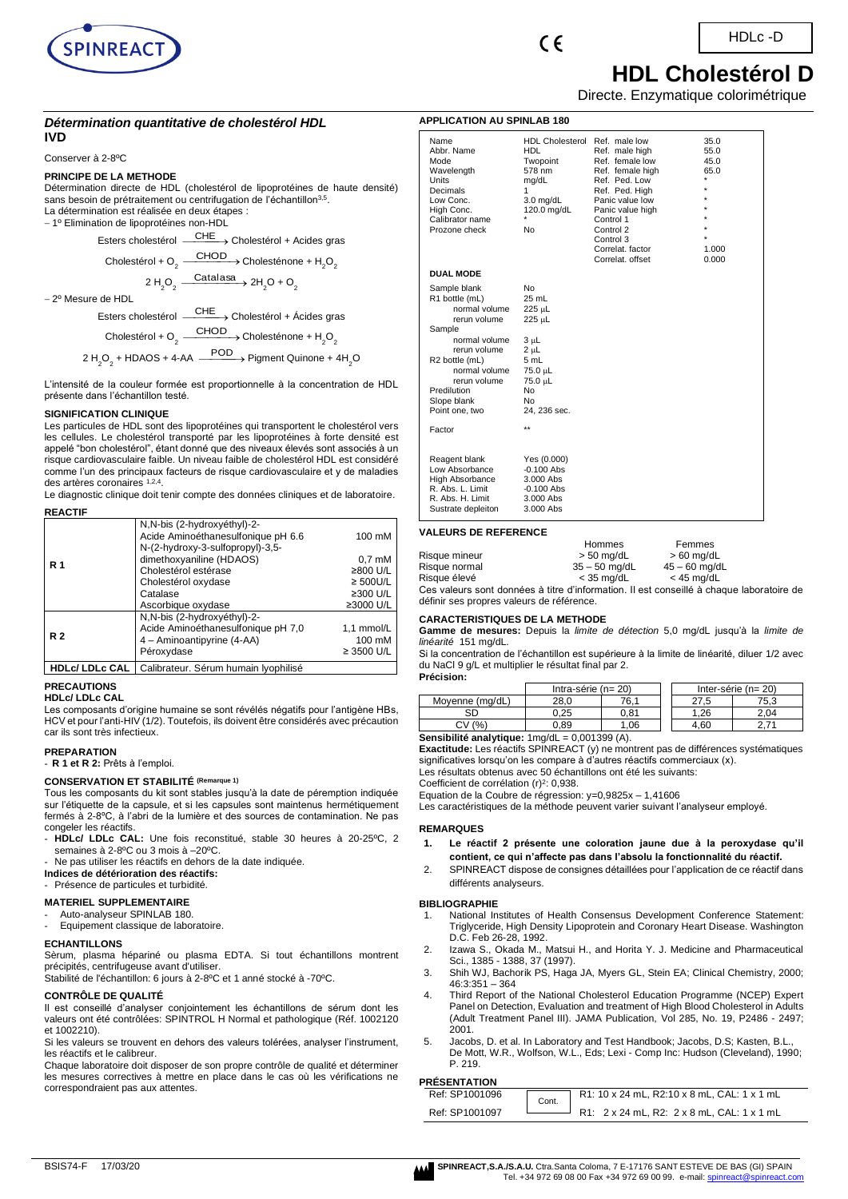





 **HDL Cholestérol D** Directe. Enzymatique colorimétrique

## *Détermination quantitative de cholestérol HDL* **IVD**

Conserver à 2-8ºC

### **PRINCIPE DE LA METHODE**

Détermination directe de HDL (cholestérol de lipoprotéines de haute densité) sans besoin de prétraitement ou centrifugation de l'échantillon<sup>3,5</sup>. La détermination est réalisée en deux étapes : − 1º Elimination de lipoprotéines non-HDL

> Esters cholestérol <sup>\_\_\_\_\_</sup>CHE →  $\rightarrow$  Cholestérol + Acides gras Cholestérol + O<sub>2</sub>  $\xrightarrow{\text{CHOD}}$  Cholesténone + H<sub>2</sub>O<sub>2</sub>

> > $2 H_2 O_2 O_2 \xrightarrow{\text{Catalasa}} 2H_2O + O_2$

− 2º Mesure de HDL

Esters cholestérol <sup>\_\_\_\_CHE</sup>→ Cholestérol + Ácides gras Cholestérol + O<sub>2</sub>  $\xrightarrow{\text{CHOD}}$  Cholesténone + H<sub>2</sub>O<sub>2</sub> 2 H<sub>2</sub>O<sub>2</sub> + HDAOS + 4-AA  $\xrightarrow{\text{POD}}$  Pigment Quinone + 4H<sub>2</sub>O

L'intensité de la couleur formée est proportionnelle à la concentration de HDL présente dans l'échantillon testé.

## **SIGNIFICATION CLINIQUE**

Les particules de HDL sont des lipoprotéines qui transportent le cholestérol vers les cellules. Le cholestérol transporté par les lipoprotéines à forte densité est appelé "bon cholestérol", étant donné que des niveaux élevés sont associés à un risque cardiovasculaire faible. Un niveau faible de cholestérol HDL est considéré comme l'un des principaux facteurs de risque cardiovasculaire et y de maladies des artères coronaires 1,2,4 .

Le diagnostic clinique doit tenir compte des données cliniques et de laboratoire. **REACTIF** 

|                         | N,N-bis (2-hydroxyéthyl)-2-<br>Acide Aminoéthanesulfonique pH 6.6<br>N-(2-hydroxy-3-sulfopropyl)-3,5- | 100 mM           |
|-------------------------|-------------------------------------------------------------------------------------------------------|------------------|
| <b>R</b> 1              | dimethoxyaniline (HDAOS)                                                                              | $0.7 \text{ mM}$ |
|                         | Cholestérol estérase                                                                                  | ≥800 U/L         |
|                         | Cholestérol oxydase                                                                                   | $\geq$ 500U/L    |
|                         | Catalase                                                                                              | ≥300 U/L         |
|                         | Ascorbique oxydase                                                                                    | ≥3000 U/L        |
|                         | N,N-bis (2-hydroxyéthyl)-2-                                                                           |                  |
|                         | Acide Aminoéthanesulfonique pH 7,0                                                                    | 1,1 mmol/L       |
| <b>R2</b>               | 4 - Aminoantipyrine (4-AA)                                                                            | 100 mM           |
|                         | Péroxydase                                                                                            | $\geq$ 3500 U/L  |
| <b>HDLc/ LDLc CAL I</b> | Calibrateur. Sérum humain Iyophilisé                                                                  |                  |

# **PRECAUTIONS**

**HDLc/ LDLc CAL**

Les composants d'origine humaine se sont révélés négatifs pour l'antigène HBs, HCV et pour l'anti-HIV (1/2). Toutefois, ils doivent être considérés avec précaution car ils sont très infectieux.

#### **PREPARATION**

- **R 1 et R 2:** Prêts à l'emploi.

# **CONSERVATION ET STABILITÉ (Remarque 1)**

Tous les composants du kit sont stables jusqu'à la date de péremption indiquée sur l'étiquette de la capsule, et si les capsules sont maintenus hermétiquement fermés à 2-8ºC, à l'abri de la lumière et des sources de contamination. Ne pas congeler les réactifs.

- **HDLc/ LDLc CAL:** Une fois reconstitué, stable 30 heures à 20-25ºC, 2 semaines à 2-8ºC ou 3 mois à –20ºC.
- Ne pas utiliser les réactifs en dehors de la date indiquée.
- **Indices de détérioration des réactifs:**
- Présence de particules et turbidité.

### **MATERIEL SUPPLEMENTAIRE**

Auto-analyseur SPINLAB 180

Equipement classique de laboratoire.

## **ECHANTILLONS**

Sèrum, plasma hépariné ou plasma EDTA. Si tout échantillons montrent précipités, centrifugeuse avant d'utiliser.

Stabilité de l'échantillon: 6 jours à 2-8ºC et 1 anné stocké à -70ºC.

## **CONTRÔLE DE QUALITÉ**

Il est conseillé d'analyser conjointement les échantillons de sérum dont les valeurs ont été contrôlées: SPINTROL H Normal et pathologique (Réf. 1002120 et 1002210).

Si les valeurs se trouvent en dehors des valeurs tolérées, analyser l'instrument, les réactifs et le calibreur.

Chaque laboratoire doit disposer de son propre contrôle de qualité et déterminer les mesures correctives à mettre en place dans le cas où les vérifications ne correspondraient pas aux attentes.

| <b>APPLICATION AU SPINLAB 180</b>                                                                                                                                                                                         |                                                                                                                                                   |                                                                                                                                                                                                                                 |                                                                      |  |  |
|---------------------------------------------------------------------------------------------------------------------------------------------------------------------------------------------------------------------------|---------------------------------------------------------------------------------------------------------------------------------------------------|---------------------------------------------------------------------------------------------------------------------------------------------------------------------------------------------------------------------------------|----------------------------------------------------------------------|--|--|
| Name<br>Abbr. Name<br>Mode<br>Wavelength<br>Units<br>Decimals<br>Low Conc.<br>High Conc.<br>Calibrator name<br>Prozone check                                                                                              | <b>HDL Cholesterol</b><br><b>HDL</b><br>Twopoint<br>578 nm<br>mg/dL<br>1<br>$3.0$ mg/dL<br>120.0 mg/dL<br>$\star$<br>No                           | Ref. male low<br>Ref. male high<br>Ref. female low<br>Ref. female high<br>Ref. Ped. Low<br>Ref. Ped. High<br>Panic value low<br>Panic value high<br>Control 1<br>Control 2<br>Control 3<br>Correlat, factor<br>Correlat, offset | 35.0<br>55.0<br>45.0<br>65.0<br>$\star$<br>$\star$<br>1.000<br>0.000 |  |  |
| <b>DUAL MODE</b>                                                                                                                                                                                                          |                                                                                                                                                   |                                                                                                                                                                                                                                 |                                                                      |  |  |
| Sample blank<br>R1 bottle (mL)<br>normal volume<br>rerun volume<br>Sample<br>normal volume<br>rerun volume<br>R <sub>2</sub> bottle (mL)<br>normal volume<br>rerun volume<br>Predilution<br>Slope blank<br>Point one, two | No<br>25 mL<br>225 µL<br>225 µL<br>3 սԼ<br>2 <sub>µ</sub> L<br>5 mL<br>75.0 µL<br>75.0 µL<br>N <sub>0</sub><br>No<br>24, 236 sec.<br>$\star\star$ |                                                                                                                                                                                                                                 |                                                                      |  |  |
| Factor                                                                                                                                                                                                                    |                                                                                                                                                   |                                                                                                                                                                                                                                 |                                                                      |  |  |
| Reagent blank<br>Low Absorbance<br>High Absorbance<br>R. Abs. L. Limit<br>R. Abs. H. Limit<br>Sustrate depleiton                                                                                                          | Yes (0.000)<br>$-0.100$ Abs<br>3.000 Abs<br>$-0.100$ Abs<br>3.000 Abs<br>3.000 Abs                                                                |                                                                                                                                                                                                                                 |                                                                      |  |  |

## **VALEURS DE REFERENCE**

|                                                                                          | 1101111165      | ו פווווופס      |  |
|------------------------------------------------------------------------------------------|-----------------|-----------------|--|
| Risque mineur                                                                            | $> 50$ mg/dL    | $>60$ mg/dL     |  |
| Risque normal                                                                            | $35 - 50$ mg/dL | $45 - 60$ ma/dL |  |
| Risque élevé                                                                             | $<$ 35 ma/dL    | $<$ 45 ma/dL    |  |
| Ces valeurs sont données à titre d'information. Il est conseillé à chaque laboratoire de |                 |                 |  |

Hommes Femmes

définir ses propres valeurs de référence.

### **CARACTERISTIQUES DE LA METHODE**

**Gamme de mesures:** Depuis la *limite de détection* 5,0 mg/dL jusqu'à la *limite de linéarité* 151 mg/dL.

Si la concentration de l'échantillon est supérieure à la limite de linéarité, diluer 1/2 avec du NaCl 9 g/L et multiplier le résultat final par 2.

### **Précision:** Intra-série (n=  $20$ ) Inter-série (n=  $20$ ) Moyenne (mg/dL) 28,0 76,1 27,5 75,3 SD | 0,25 | 0,81 | 1,26 | 2,04  $CV(%)$  0,89 1,06 | 4,60 2,71

**Sensibilité analytique:** 1mg/dL = 0,001399 (A).

**Exactitude:** Les réactifs SPINREACT (y) ne montrent pas de différences systématiques significatives lorsqu'on les compare à d'autres réactifs commerciaux (x). Les résultats obtenus avec 50 échantillons ont été les suivants:

Coefficient de corrélation (r)<sup>2</sup>: 0,938.

Equation de la Coubre de régression: y=0,9825x – 1,41606

Les caractéristiques de la méthode peuvent varier suivant l'analyseur employé.

#### **REMARQUES**

- **1. Le réactif 2 présente une coloration jaune due à la peroxydase qu'il contient, ce qui n'affecte pas dans l'absolu la fonctionnalité du réactif.**
- 2. SPINREACT dispose de consignes détaillées pour l'application de ce réactif dans différents analyseurs.

### **BIBLIOGRAPHIE**

- 1. National Institutes of Health Consensus Development Conference Statement: Triglyceride, High Density Lipoprotein and Coronary Heart Disease. Washington D.C. Feb 26-28, 1992.
- 2. Izawa S., Okada M., Matsui H., and Horita Y. J. Medicine and Pharmaceutical Sci., 1385 1388, 37 (1997).
- 3. Shih WJ, Bachorik PS, Haga JA, Myers GL, Stein EA; Clinical Chemistry, 2000; 46:3:351 – 364
- 4. Third Report of the National Cholesterol Education Programme (NCEP) Expert Panel on Detection, Evaluation and treatment of High Blood Cholesterol in Adults (Adult Treatment Panel III). JAMA Publication, Vol 285, No. 19, P2486 - 2497; 2001.
- 5. Jacobs, D. et al. In Laboratory and Test Handbook; Jacobs, D.S; Kasten, B.L., De Mott, W.R., Wolfson, W.L., Eds; Lexi - Comp Inc: Hudson (Cleveland), 1990; P. 219.

## **PRÉSENTATION**

| Ref: SP1001096 | Cont. | R1: 10 x 24 mL, R2:10 x 8 mL, CAL: 1 x 1 mL |
|----------------|-------|---------------------------------------------|
| Ref: SP1001097 |       | R1: 2 x 24 mL, R2: 2 x 8 mL, CAL: 1 x 1 mL  |